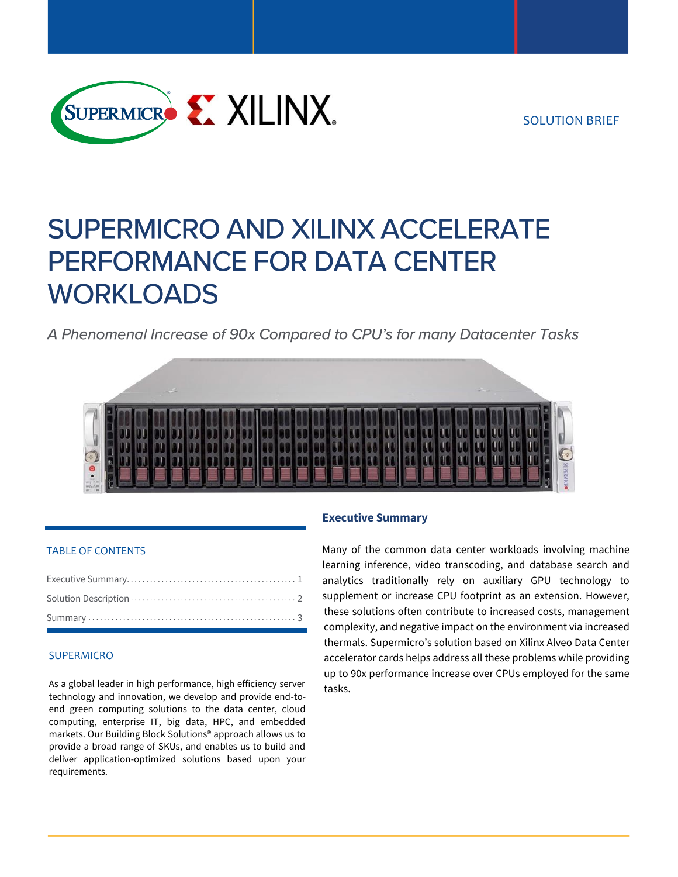

# **SUPERMICRO AND XILINX ACCELERATE** PERFORMANCE FOR DATA CENTER **WORKLOADS**

A Phenomenal Increase of 90x Compared to CPU's for many Datacenter Tasks



#### TABLE OF CONTENTS

#### SUPERMICRO

As a global leader in high performance, high efficiency server technology and innovation, we develop and provide end-toend green computing solutions to the data center, cloud computing, enterprise IT, big data, HPC, and embedded markets. Our Building Block Solutions® approach allows us to provide a broad range of SKUs, and enables us to build and deliver application-optimized solutions based upon your requirements.

## **Executive Summary**

Many of the common data center workloads involving machine learning inference, video transcoding, and database search and analytics traditionally rely on auxiliary GPU technology to supplement or increase CPU footprint as an extension. However, these solutions often contribute to increased costs, management complexity, and negative impact on the environment via increased thermals. Supermicro's solution based on Xilinx Alveo Data Center accelerator cards helps address all these problems while providing up to 90x performance increase over CPUs employed for the same tasks.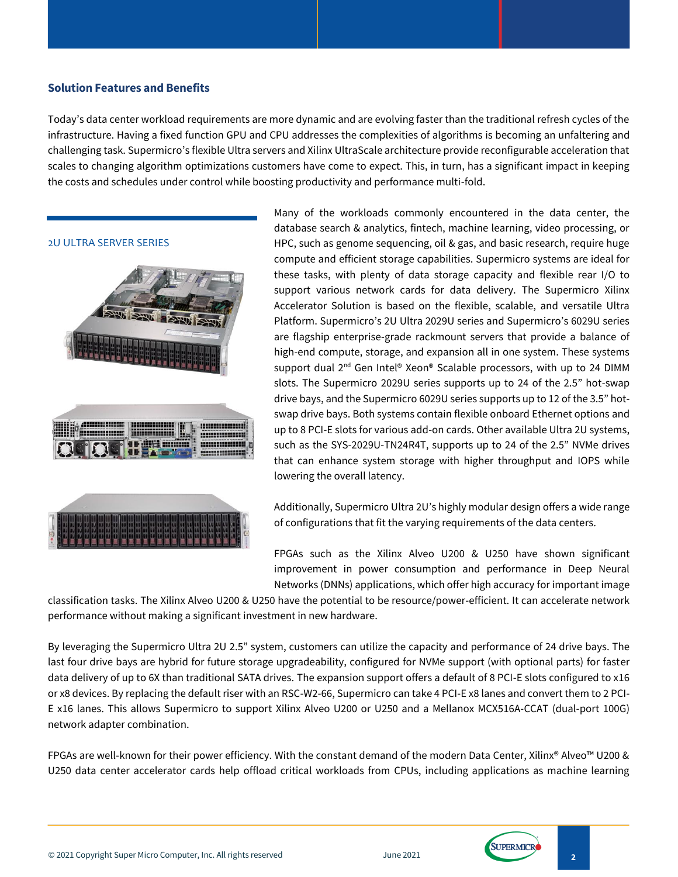## **Solution Features and Benefits**

Today's data center workload requirements are more dynamic and are evolving faster than the traditional refresh cycles of the infrastructure. Having a fixed function GPU and CPU addresses the complexities of algorithms is becoming an unfaltering and challenging task. Supermicro's flexible Ultra servers and Xilinx UltraScale architecture provide reconfigurable acceleration that scales to changing algorithm optimizations customers have come to expect. This, in turn, has a significant impact in keeping the costs and schedules under control while boosting productivity and performance multi-fold.



Many of the workloads commonly encountered in the data center, the database search & analytics, fintech, machine learning, video processing, or HPC, such as genome sequencing, oil & gas, and basic research, require huge compute and efficient storage capabilities. Supermicro systems are ideal for these tasks, with plenty of data storage capacity and flexible rear I/O to support various network cards for data delivery. The Supermicro Xilinx Accelerator Solution is based on the flexible, scalable, and versatile Ultra Platform. Supermicro's 2U Ultra 2029U series and Supermicro's 6029U series are flagship enterprise-grade rackmount servers that provide a balance of high-end compute, storage, and expansion all in one system. These systems support dual 2<sup>nd</sup> Gen Intel® Xeon® Scalable processors, with up to 24 DIMM slots. The Supermicro 2029U series supports up to 24 of the 2.5" hot-swap drive bays, and the Supermicro 6029U series supports up to 12 of the 3.5" hotswap drive bays. Both systems contain flexible onboard Ethernet options and up to 8 PCI-E slots for various add-on cards. Other available Ultra 2U systems, such as the SYS-2029U-TN24R4T, supports up to 24 of the 2.5" NVMe drives that can enhance system storage with higher throughput and IOPS while lowering the overall latency.

Additionally, Supermicro Ultra 2U's highly modular design offers a wide range of configurations that fit the varying requirements of the data centers.

FPGAs such as the Xilinx Alveo U200 & U250 have shown significant improvement in power consumption and performance in Deep Neural Networks (DNNs) applications, which offer high accuracy for important image

classification tasks. The Xilinx Alveo U200 & U250 have the potential to be resource/power-efficient. It can accelerate network performance without making a significant investment in new hardware.

By leveraging the Supermicro Ultra 2U 2.5" system, customers can utilize the capacity and performance of 24 drive bays. The last four drive bays are hybrid for future storage upgradeability, configured for NVMe support (with optional parts) for faster data delivery of up to 6X than traditional SATA drives. The expansion support offers a default of 8 PCI-E slots configured to x16 or x8 devices. By replacing the default riser with an RSC-W2-66, Supermicro can take 4 PCI-E x8 lanes and convert them to 2 PCI-E x16 lanes. This allows Supermicro to support Xilinx Alveo U200 or U250 and a Mellanox MCX516A-CCAT (dual-port 100G) network adapter combination.

FPGAs are well-known for their power efficiency. With the constant demand of the modern Data Center, Xilinx® Alveo™ U200 & U250 data center accelerator cards help offload critical workloads from CPUs, including applications as machine learning